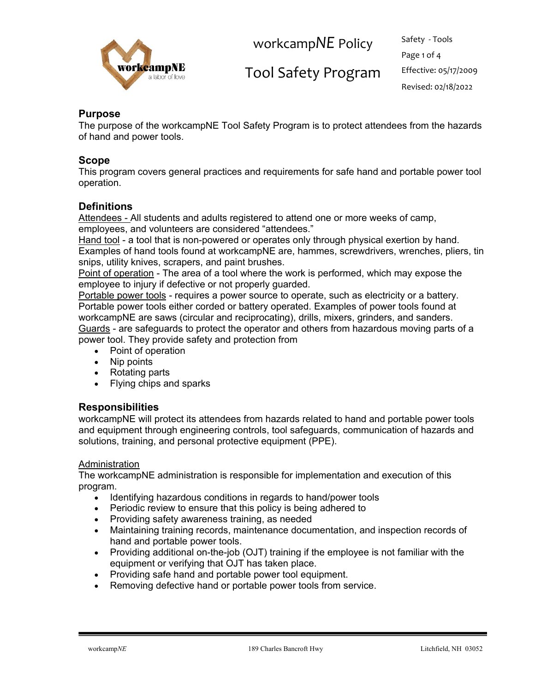

Tool Safety Program Effective: 05/17/2009

Page 1 of 4 Revised: 02/18/2022

## **Purpose**

The purpose of the workcampNE Tool Safety Program is to protect attendees from the hazards of hand and power tools.

## **Scope**

This program covers general practices and requirements for safe hand and portable power tool operation.

## **Definitions**

Attendees - All students and adults registered to attend one or more weeks of camp, employees, and volunteers are considered "attendees."

Hand tool - a tool that is non-powered or operates only through physical exertion by hand. Examples of hand tools found at workcampNE are, hammes, screwdrivers, wrenches, pliers, tin snips, utility knives, scrapers, and paint brushes.

Point of operation - The area of a tool where the work is performed, which may expose the employee to injury if defective or not properly guarded.

Portable power tools - requires a power source to operate, such as electricity or a battery. Portable power tools either corded or battery operated. Examples of power tools found at workcampNE are saws (circular and reciprocating), drills, mixers, grinders, and sanders. Guards - are safeguards to protect the operator and others from hazardous moving parts of a power tool. They provide safety and protection from

- Point of operation
- Nip points
- Rotating parts
- Flying chips and sparks

## **Responsibilities**

workcampNE will protect its attendees from hazards related to hand and portable power tools and equipment through engineering controls, tool safeguards, communication of hazards and solutions, training, and personal protective equipment (PPE).

#### Administration

The workcampNE administration is responsible for implementation and execution of this program.

- Identifying hazardous conditions in regards to hand/power tools
- Periodic review to ensure that this policy is being adhered to
- Providing safety awareness training, as needed
- Maintaining training records, maintenance documentation, and inspection records of hand and portable power tools.
- Providing additional on-the-job (OJT) training if the employee is not familiar with the equipment or verifying that OJT has taken place.
- Providing safe hand and portable power tool equipment.
- Removing defective hand or portable power tools from service.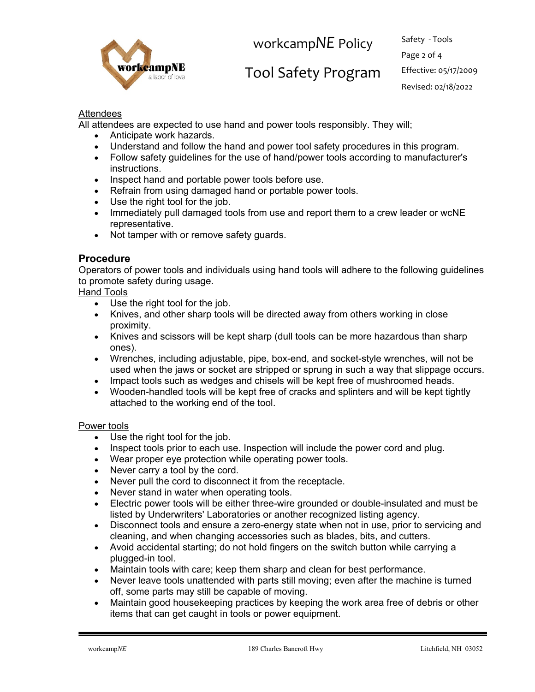

# Tool Safety Program Effective: 05/17/2009

Page 2 of 4 Revised: 02/18/2022

## Attendees

All attendees are expected to use hand and power tools responsibly. They will;

- Anticipate work hazards.
- Understand and follow the hand and power tool safety procedures in this program.
- Follow safety guidelines for the use of hand/power tools according to manufacturer's instructions.
- Inspect hand and portable power tools before use.
- Refrain from using damaged hand or portable power tools.
- Use the right tool for the job.
- Immediately pull damaged tools from use and report them to a crew leader or wcNE representative.
- Not tamper with or remove safety guards.

## **Procedure**

Operators of power tools and individuals using hand tools will adhere to the following guidelines to promote safety during usage.

Hand Tools

- Use the right tool for the job.
- Knives, and other sharp tools will be directed away from others working in close proximity.
- Knives and scissors will be kept sharp (dull tools can be more hazardous than sharp ones).
- Wrenches, including adjustable, pipe, box-end, and socket-style wrenches, will not be used when the jaws or socket are stripped or sprung in such a way that slippage occurs.
- Impact tools such as wedges and chisels will be kept free of mushroomed heads.
- Wooden-handled tools will be kept free of cracks and splinters and will be kept tightly attached to the working end of the tool.

#### Power tools

- Use the right tool for the job.
- Inspect tools prior to each use. Inspection will include the power cord and plug.
- Wear proper eye protection while operating power tools.
- Never carry a tool by the cord.
- Never pull the cord to disconnect it from the receptacle.
- Never stand in water when operating tools.
- Electric power tools will be either three-wire grounded or double-insulated and must be listed by Underwriters' Laboratories or another recognized listing agency.
- Disconnect tools and ensure a zero-energy state when not in use, prior to servicing and cleaning, and when changing accessories such as blades, bits, and cutters.
- Avoid accidental starting; do not hold fingers on the switch button while carrying a plugged-in tool.
- Maintain tools with care; keep them sharp and clean for best performance.
- Never leave tools unattended with parts still moving; even after the machine is turned off, some parts may still be capable of moving.
- Maintain good housekeeping practices by keeping the work area free of debris or other items that can get caught in tools or power equipment.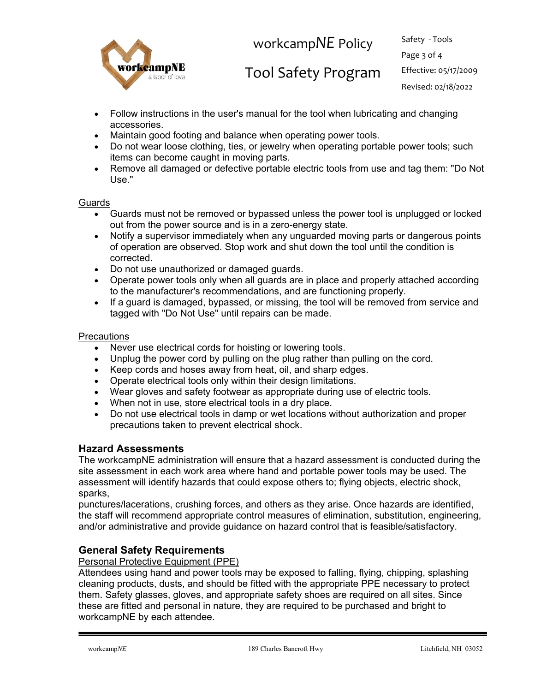

Tool Safety Program Effective: 05/17/2009

Page 3 of 4 Revised: 02/18/2022

- Follow instructions in the user's manual for the tool when lubricating and changing accessories.
- Maintain good footing and balance when operating power tools.
- Do not wear loose clothing, ties, or jewelry when operating portable power tools; such items can become caught in moving parts.
- Remove all damaged or defective portable electric tools from use and tag them: "Do Not Use."

**Guards** 

- Guards must not be removed or bypassed unless the power tool is unplugged or locked out from the power source and is in a zero-energy state.
- Notify a supervisor immediately when any unguarded moving parts or dangerous points of operation are observed. Stop work and shut down the tool until the condition is corrected.
- Do not use unauthorized or damaged guards.
- Operate power tools only when all guards are in place and properly attached according to the manufacturer's recommendations, and are functioning properly.
- If a guard is damaged, bypassed, or missing, the tool will be removed from service and tagged with "Do Not Use" until repairs can be made.

#### **Precautions**

- Never use electrical cords for hoisting or lowering tools.
- Unplug the power cord by pulling on the plug rather than pulling on the cord.
- Keep cords and hoses away from heat, oil, and sharp edges.
- Operate electrical tools only within their design limitations.
- Wear gloves and safety footwear as appropriate during use of electric tools.
- When not in use, store electrical tools in a dry place.
- Do not use electrical tools in damp or wet locations without authorization and proper precautions taken to prevent electrical shock.

#### **Hazard Assessments**

The workcampNE administration will ensure that a hazard assessment is conducted during the site assessment in each work area where hand and portable power tools may be used. The assessment will identify hazards that could expose others to; flying objects, electric shock, sparks,

punctures/lacerations, crushing forces, and others as they arise. Once hazards are identified, the staff will recommend appropriate control measures of elimination, substitution, engineering, and/or administrative and provide guidance on hazard control that is feasible/satisfactory.

## **General Safety Requirements**

Personal Protective Equipment (PPE)

Attendees using hand and power tools may be exposed to falling, flying, chipping, splashing cleaning products, dusts, and should be fitted with the appropriate PPE necessary to protect them. Safety glasses, gloves, and appropriate safety shoes are required on all sites. Since these are fitted and personal in nature, they are required to be purchased and bright to workcampNE by each attendee.